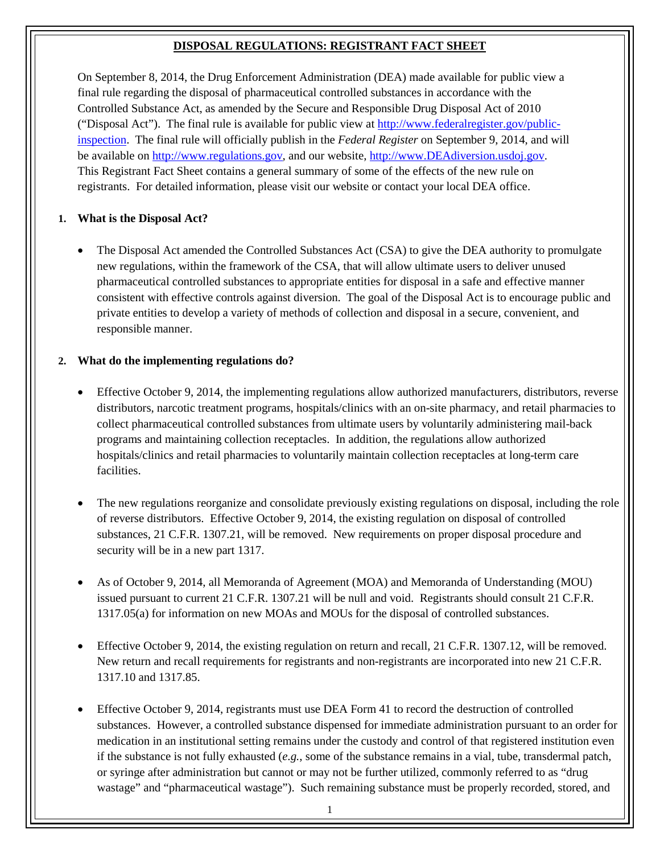#### **DISPOSAL REGULATIONS: REGISTRANT FACT SHEET**

On September 8, 2014, the Drug Enforcement Administration (DEA) made available for public view a final rule regarding the disposal of pharmaceutical controlled substances in accordance with the Controlled Substance Act, as amended by the Secure and Responsible Drug Disposal Act of 2010 ("Disposal Act"). The final rule is available for public view at [http://www.federalregister.gov/public](http://www.federalregister.gov/public-inspection)[inspection.](http://www.federalregister.gov/public-inspection) The final rule will officially publish in the *Federal Register* on September 9, 2014, and will be available on [http://www.regulations.gov,](http://www.regulations.gov/) and our website, [http://www.DEAdiversion.usdoj.gov.](http://www.deadiversion.usdoj.gov/) This Registrant Fact Sheet contains a general summary of some of the effects of the new rule on registrants. For detailed information, please visit our website or contact your local DEA office.

#### **1. What is the Disposal Act?**

• The Disposal Act amended the Controlled Substances Act (CSA) to give the DEA authority to promulgate new regulations, within the framework of the CSA, that will allow ultimate users to deliver unused pharmaceutical controlled substances to appropriate entities for disposal in a safe and effective manner consistent with effective controls against diversion. The goal of the Disposal Act is to encourage public and private entities to develop a variety of methods of collection and disposal in a secure, convenient, and responsible manner.

## **2. What do the implementing regulations do?**

- Effective October 9, 2014, the implementing regulations allow authorized manufacturers, distributors, reverse distributors, narcotic treatment programs, hospitals/clinics with an on-site pharmacy, and retail pharmacies to collect pharmaceutical controlled substances from ultimate users by voluntarily administering mail-back programs and maintaining collection receptacles. In addition, the regulations allow authorized hospitals/clinics and retail pharmacies to voluntarily maintain collection receptacles at long-term care facilities.
- The new regulations reorganize and consolidate previously existing regulations on disposal, including the role of reverse distributors. Effective October 9, 2014, the existing regulation on disposal of controlled substances, 21 C.F.R. 1307.21, will be removed. New requirements on proper disposal procedure and security will be in a new part 1317.
- As of October 9, 2014, all Memoranda of Agreement (MOA) and Memoranda of Understanding (MOU) issued pursuant to current 21 C.F.R. 1307.21 will be null and void. Registrants should consult 21 C.F.R. 1317.05(a) for information on new MOAs and MOUs for the disposal of controlled substances.
- Effective October 9, 2014, the existing regulation on return and recall, 21 C.F.R. 1307.12, will be removed. New return and recall requirements for registrants and non-registrants are incorporated into new 21 C.F.R. 1317.10 and 1317.85.
- Effective October 9, 2014, registrants must use DEA Form 41 to record the destruction of controlled substances. However, a controlled substance dispensed for immediate administration pursuant to an order for medication in an institutional setting remains under the custody and control of that registered institution even if the substance is not fully exhausted (*e.g.*, some of the substance remains in a vial, tube, transdermal patch, or syringe after administration but cannot or may not be further utilized, commonly referred to as "drug wastage" and "pharmaceutical wastage"). Such remaining substance must be properly recorded, stored, and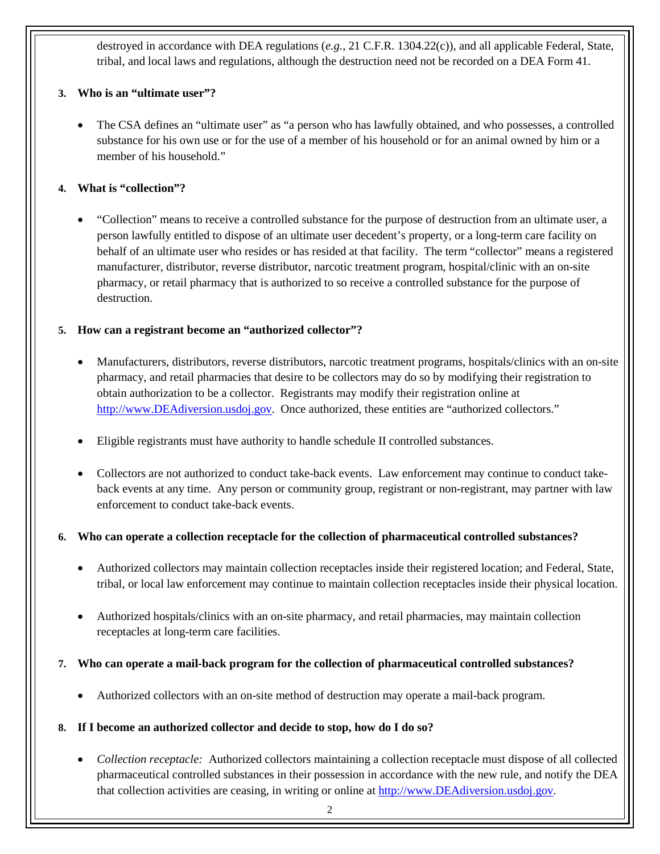destroyed in accordance with DEA regulations (*e.g.*, 21 C.F.R. 1304.22(c)), and all applicable Federal, State, tribal, and local laws and regulations, although the destruction need not be recorded on a DEA Form 41.

## **3. Who is an "ultimate user"?**

The CSA defines an "ultimate user" as "a person who has lawfully obtained, and who possesses, a controlled substance for his own use or for the use of a member of his household or for an animal owned by him or a member of his household."

## **4. What is "collection"?**

• "Collection" means to receive a controlled substance for the purpose of destruction from an ultimate user, a person lawfully entitled to dispose of an ultimate user decedent's property, or a long-term care facility on behalf of an ultimate user who resides or has resided at that facility. The term "collector" means a registered manufacturer, distributor, reverse distributor, narcotic treatment program, hospital/clinic with an on-site pharmacy, or retail pharmacy that is authorized to so receive a controlled substance for the purpose of destruction.

## **5. How can a registrant become an "authorized collector"?**

- Manufacturers, distributors, reverse distributors, narcotic treatment programs, hospitals/clinics with an on-site pharmacy, and retail pharmacies that desire to be collectors may do so by modifying their registration to obtain authorization to be a collector. Registrants may modify their registration online at [http://www.DEAdiversion.usdoj.gov.](http://www.deadiversion.usdoj.gov/) Once authorized, these entities are "authorized collectors."
- Eligible registrants must have authority to handle schedule II controlled substances.
- Collectors are not authorized to conduct take-back events. Law enforcement may continue to conduct takeback events at any time. Any person or community group, registrant or non-registrant, may partner with law enforcement to conduct take-back events.

#### **6. Who can operate a collection receptacle for the collection of pharmaceutical controlled substances?**

- Authorized collectors may maintain collection receptacles inside their registered location; and Federal, State, tribal, or local law enforcement may continue to maintain collection receptacles inside their physical location.
- Authorized hospitals/clinics with an on-site pharmacy, and retail pharmacies, may maintain collection receptacles at long-term care facilities.

#### **7. Who can operate a mail-back program for the collection of pharmaceutical controlled substances?**

• Authorized collectors with an on-site method of destruction may operate a mail-back program.

#### **8. If I become an authorized collector and decide to stop, how do I do so?**

• *Collection receptacle:* Authorized collectors maintaining a collection receptacle must dispose of all collected pharmaceutical controlled substances in their possession in accordance with the new rule, and notify the DEA that collection activities are ceasing, in writing or online at [http://www.DEAdiversion.usdoj.gov.](http://www.deadiversion.usdoj.gov/)